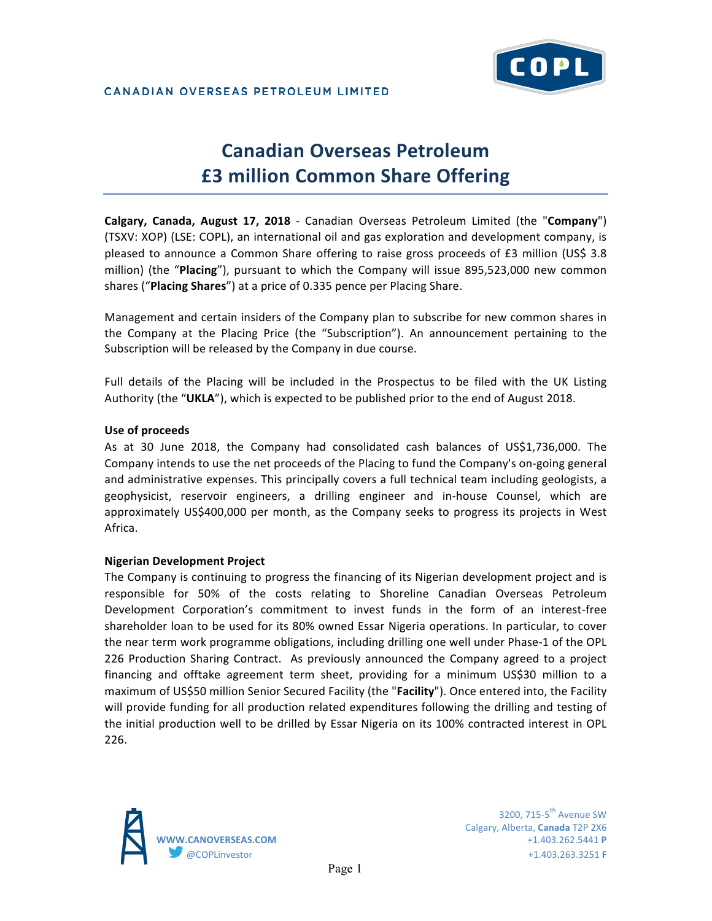

# **Canadian Overseas Petroleum £3 million Common Share Offering**

**Calgary, Canada, August 17, 2018** - Canadian Overseas Petroleum Limited (the "Company") (TSXV: XOP) (LSE: COPL), an international oil and gas exploration and development company, is pleased to announce a Common Share offering to raise gross proceeds of £3 million (US\$ 3.8 million) (the "Placing"), pursuant to which the Company will issue 895,523,000 new common shares ("Placing Shares") at a price of 0.335 pence per Placing Share.

Management and certain insiders of the Company plan to subscribe for new common shares in the Company at the Placing Price (the "Subscription"). An announcement pertaining to the Subscription will be released by the Company in due course.

Full details of the Placing will be included in the Prospectus to be filed with the UK Listing Authority (the "UKLA"), which is expected to be published prior to the end of August 2018.

### **Use of proceeds**

As at 30 June 2018, the Company had consolidated cash balances of US\$1,736,000. The Company intends to use the net proceeds of the Placing to fund the Company's on-going general and administrative expenses. This principally covers a full technical team including geologists, a geophysicist, reservoir engineers, a drilling engineer and in-house Counsel, which are approximately US\$400,000 per month, as the Company seeks to progress its projects in West Africa.

### **Nigerian Development Project**

The Company is continuing to progress the financing of its Nigerian development project and is responsible for 50% of the costs relating to Shoreline Canadian Overseas Petroleum Development Corporation's commitment to invest funds in the form of an interest-free shareholder loan to be used for its 80% owned Essar Nigeria operations. In particular, to cover the near term work programme obligations, including drilling one well under Phase-1 of the OPL 226 Production Sharing Contract. As previously announced the Company agreed to a project financing and offtake agreement term sheet, providing for a minimum US\$30 million to a maximum of US\$50 million Senior Secured Facility (the "Facility"). Once entered into, the Facility will provide funding for all production related expenditures following the drilling and testing of the initial production well to be drilled by Essar Nigeria on its 100% contracted interest in OPL 226.



3200,  $715-5$ <sup>th</sup> Avenue SW Calgary, Alberta, **Canada** T2P 2X6 **WWW.CANOVERSEAS.COM** +1.403.262.5441 **P** @COPLinvestor +1.403.263.3251 **F**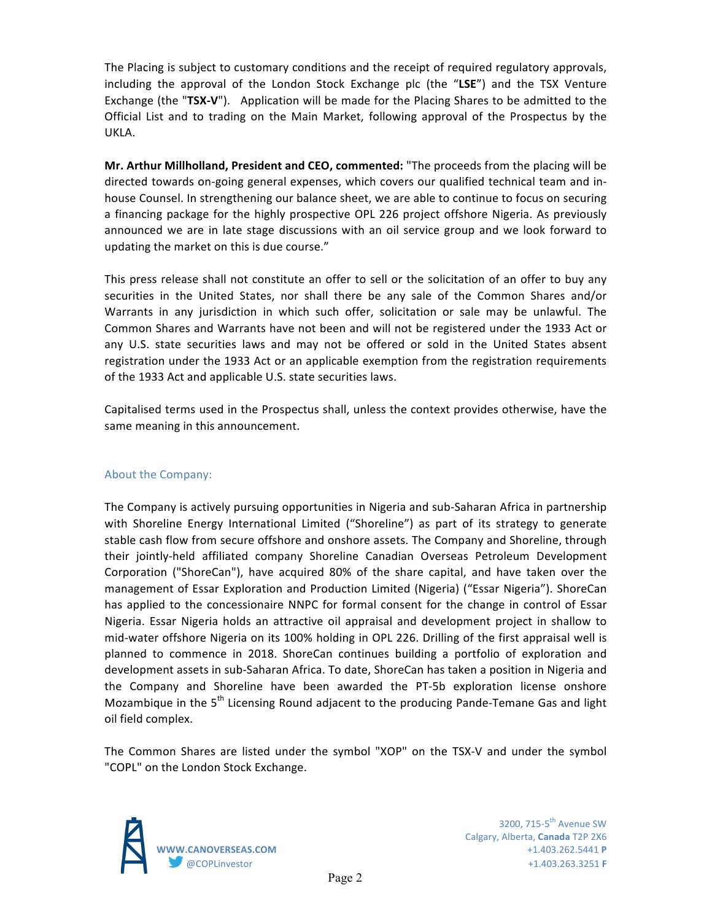The Placing is subject to customary conditions and the receipt of required regulatory approvals, including the approval of the London Stock Exchange plc (the "LSE") and the TSX Venture **Exchange** (the "TSX-V"). Application will be made for the Placing Shares to be admitted to the Official List and to trading on the Main Market, following approval of the Prospectus by the UKLA. 

Mr. Arthur Millholland, President and CEO, commented: "The proceeds from the placing will be directed towards on-going general expenses, which covers our qualified technical team and inhouse Counsel. In strengthening our balance sheet, we are able to continue to focus on securing a financing package for the highly prospective OPL 226 project offshore Nigeria. As previously announced we are in late stage discussions with an oil service group and we look forward to updating the market on this is due course."

This press release shall not constitute an offer to sell or the solicitation of an offer to buy any securities in the United States, nor shall there be any sale of the Common Shares and/or Warrants in any jurisdiction in which such offer, solicitation or sale may be unlawful. The Common Shares and Warrants have not been and will not be registered under the 1933 Act or any U.S. state securities laws and may not be offered or sold in the United States absent registration under the 1933 Act or an applicable exemption from the registration requirements of the 1933 Act and applicable U.S. state securities laws.

Capitalised terms used in the Prospectus shall, unless the context provides otherwise, have the same meaning in this announcement.

## About the Company:

The Company is actively pursuing opportunities in Nigeria and sub-Saharan Africa in partnership with Shoreline Energy International Limited ("Shoreline") as part of its strategy to generate stable cash flow from secure offshore and onshore assets. The Company and Shoreline, through their jointly-held affiliated company Shoreline Canadian Overseas Petroleum Development Corporation ("ShoreCan"), have acquired 80% of the share capital, and have taken over the management of Essar Exploration and Production Limited (Nigeria) ("Essar Nigeria"). ShoreCan has applied to the concessionaire NNPC for formal consent for the change in control of Essar Nigeria. Essar Nigeria holds an attractive oil appraisal and development project in shallow to mid-water offshore Nigeria on its 100% holding in OPL 226. Drilling of the first appraisal well is planned to commence in 2018. ShoreCan continues building a portfolio of exploration and development assets in sub-Saharan Africa. To date, ShoreCan has taken a position in Nigeria and the Company and Shoreline have been awarded the PT-5b exploration license onshore Mozambique in the  $5<sup>th</sup>$  Licensing Round adjacent to the producing Pande-Temane Gas and light oil field complex.

The Common Shares are listed under the symbol "XOP" on the TSX-V and under the symbol "COPL" on the London Stock Exchange.